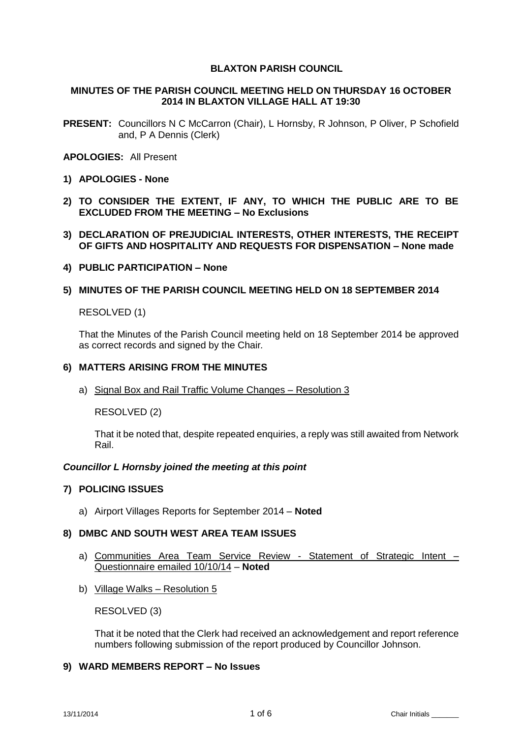# **BLAXTON PARISH COUNCIL**

## **MINUTES OF THE PARISH COUNCIL MEETING HELD ON THURSDAY 16 OCTOBER 2014 IN BLAXTON VILLAGE HALL AT 19:30**

**PRESENT:** Councillors N C McCarron (Chair), L Hornsby, R Johnson, P Oliver, P Schofield and, P A Dennis (Clerk)

## **APOLOGIES:** All Present

- **1) APOLOGIES - None**
- **2) TO CONSIDER THE EXTENT, IF ANY, TO WHICH THE PUBLIC ARE TO BE EXCLUDED FROM THE MEETING – No Exclusions**
- **3) DECLARATION OF PREJUDICIAL INTERESTS, OTHER INTERESTS, THE RECEIPT OF GIFTS AND HOSPITALITY AND REQUESTS FOR DISPENSATION – None made**
- **4) PUBLIC PARTICIPATION – None**
- **5) MINUTES OF THE PARISH COUNCIL MEETING HELD ON 18 SEPTEMBER 2014**

## RESOLVED (1)

That the Minutes of the Parish Council meeting held on 18 September 2014 be approved as correct records and signed by the Chair*.*

### **6) MATTERS ARISING FROM THE MINUTES**

a) Signal Box and Rail Traffic Volume Changes – Resolution 3

RESOLVED (2)

That it be noted that, despite repeated enquiries, a reply was still awaited from Network Rail.

### *Councillor L Hornsby joined the meeting at this point*

### **7) POLICING ISSUES**

a) Airport Villages Reports for September 2014 – **Noted**

### **8) DMBC AND SOUTH WEST AREA TEAM ISSUES**

- a) Communities Area Team Service Review Statement of Strategic Intent Questionnaire emailed 10/10/14 – **Noted**
- b) Village Walks Resolution 5

RESOLVED (3)

That it be noted that the Clerk had received an acknowledgement and report reference numbers following submission of the report produced by Councillor Johnson.

### **9) WARD MEMBERS REPORT – No Issues**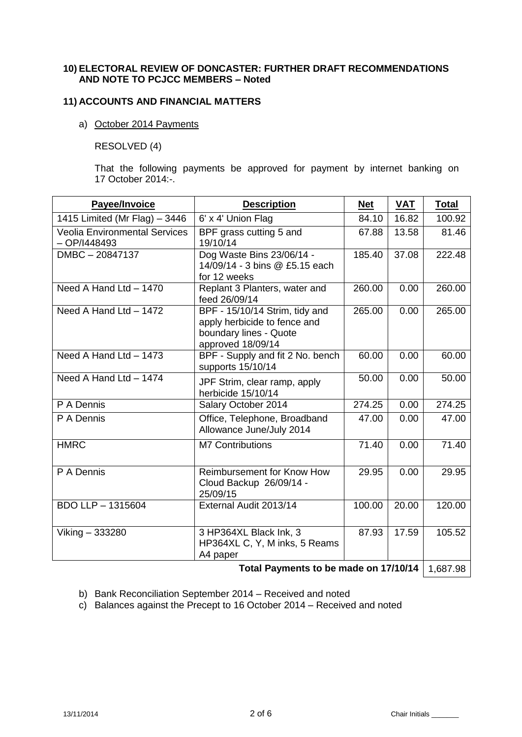### **10) ELECTORAL REVIEW OF DONCASTER: FURTHER DRAFT RECOMMENDATIONS AND NOTE TO PCJCC MEMBERS – Noted**

# **11) ACCOUNTS AND FINANCIAL MATTERS**

# a) October 2014 Payments

RESOLVED (4)

That the following payments be approved for payment by internet banking on 17 October 2014:-.

| Payee/Invoice                                          | <b>Description</b>                                                                                            | <b>Net</b> | <b>VAT</b> | <b>Total</b> |
|--------------------------------------------------------|---------------------------------------------------------------------------------------------------------------|------------|------------|--------------|
| 1415 Limited (Mr Flag) - 3446                          | 6' x 4' Union Flag                                                                                            | 84.10      | 16.82      | 100.92       |
| <b>Veolia Environmental Services</b><br>$-$ OP/I448493 | BPF grass cutting 5 and<br>19/10/14                                                                           | 67.88      | 13.58      | 81.46        |
| DMBC-20847137                                          | Dog Waste Bins 23/06/14 -<br>14/09/14 - 3 bins @ £5.15 each<br>for 12 weeks                                   | 185.40     | 37.08      | 222.48       |
| Need A Hand Ltd - 1470                                 | Replant 3 Planters, water and<br>feed 26/09/14                                                                | 260.00     | 0.00       | 260.00       |
| Need A Hand Ltd - 1472                                 | BPF - 15/10/14 Strim, tidy and<br>apply herbicide to fence and<br>boundary lines - Quote<br>approved 18/09/14 | 265.00     | 0.00       | 265.00       |
| Need A Hand Ltd - 1473                                 | BPF - Supply and fit 2 No. bench<br>supports 15/10/14                                                         | 60.00      | 0.00       | 60.00        |
| Need A Hand Ltd - 1474                                 | JPF Strim, clear ramp, apply<br>herbicide 15/10/14                                                            | 50.00      | 0.00       | 50.00        |
| P A Dennis                                             | Salary October 2014                                                                                           | 274.25     | 0.00       | 274.25       |
| P A Dennis                                             | Office, Telephone, Broadband<br>Allowance June/July 2014                                                      | 47.00      | 0.00       | 47.00        |
| <b>HMRC</b>                                            | <b>M7 Contributions</b>                                                                                       | 71.40      | 0.00       | 71.40        |
| P A Dennis                                             | <b>Reimbursement for Know How</b><br>Cloud Backup 26/09/14 -<br>25/09/15                                      | 29.95      | 0.00       | 29.95        |
| <b>BDO LLP - 1315604</b>                               | External Audit 2013/14                                                                                        | 100.00     | 20.00      | 120.00       |
| Viking - 333280                                        | 3 HP364XL Black Ink, 3<br>HP364XL C, Y, M inks, 5 Reams<br>A4 paper                                           | 87.93      | 17.59      | 105.52       |
| Total Payments to be made on 17/10/14                  |                                                                                                               |            |            | 1,687.98     |

b) Bank Reconciliation September 2014 – Received and noted

c) Balances against the Precept to 16 October 2014 – Received and noted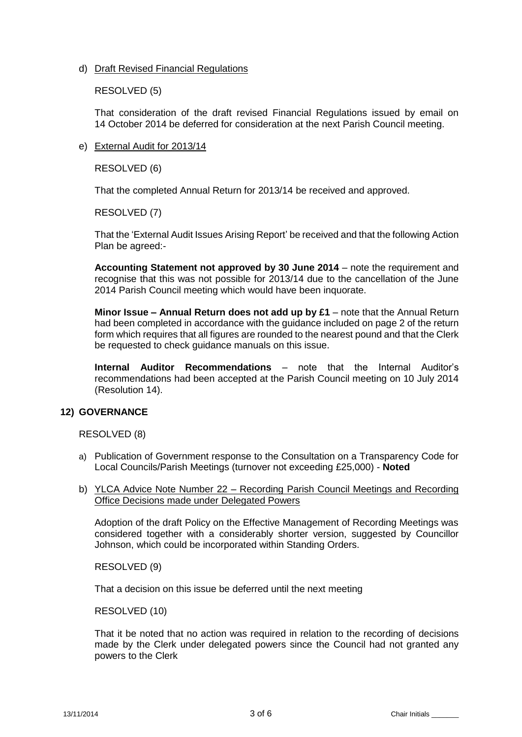d) Draft Revised Financial Regulations

RESOLVED (5)

That consideration of the draft revised Financial Regulations issued by email on 14 October 2014 be deferred for consideration at the next Parish Council meeting.

e) External Audit for 2013/14

RESOLVED (6)

That the completed Annual Return for 2013/14 be received and approved.

RESOLVED (7)

That the 'External Audit Issues Arising Report' be received and that the following Action Plan be agreed:-

**Accounting Statement not approved by 30 June 2014** – note the requirement and recognise that this was not possible for 2013/14 due to the cancellation of the June 2014 Parish Council meeting which would have been inquorate.

**Minor Issue – Annual Return does not add up by £1** – note that the Annual Return had been completed in accordance with the guidance included on page 2 of the return form which requires that all figures are rounded to the nearest pound and that the Clerk be requested to check guidance manuals on this issue.

**Internal Auditor Recommendations** – note that the Internal Auditor's recommendations had been accepted at the Parish Council meeting on 10 July 2014 (Resolution 14).

# **12) GOVERNANCE**

RESOLVED (8)

- a) Publication of Government response to the Consultation on a Transparency Code for Local Councils/Parish Meetings (turnover not exceeding £25,000) - **Noted**
- b) YLCA Advice Note Number 22 Recording Parish Council Meetings and Recording Office Decisions made under Delegated Powers

Adoption of the draft Policy on the Effective Management of Recording Meetings was considered together with a considerably shorter version, suggested by Councillor Johnson, which could be incorporated within Standing Orders.

RESOLVED (9)

That a decision on this issue be deferred until the next meeting

RESOLVED (10)

That it be noted that no action was required in relation to the recording of decisions made by the Clerk under delegated powers since the Council had not granted any powers to the Clerk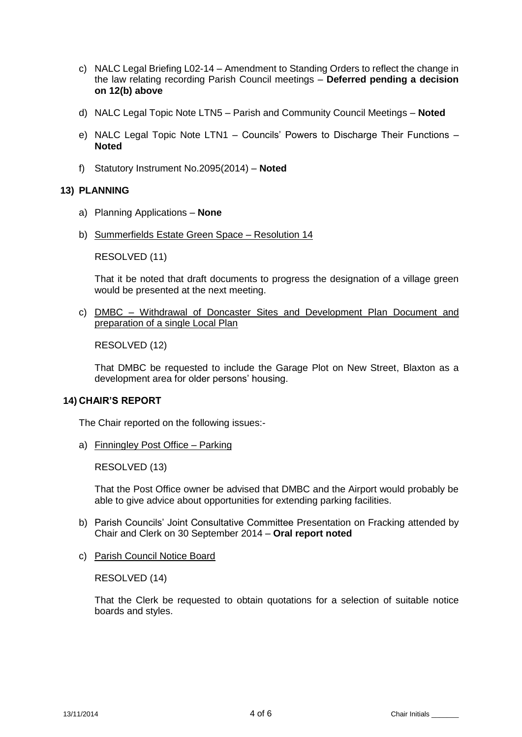- c) NALC Legal Briefing L02-14 Amendment to Standing Orders to reflect the change in the law relating recording Parish Council meetings – **Deferred pending a decision on 12(b) above**
- d) NALC Legal Topic Note LTN5 Parish and Community Council Meetings **Noted**
- e) NALC Legal Topic Note LTN1 Councils' Powers to Discharge Their Functions **Noted**
- f) Statutory Instrument No.2095(2014) **Noted**

# **13) PLANNING**

- a) Planning Applications **None**
- b) Summerfields Estate Green Space Resolution 14

RESOLVED (11)

That it be noted that draft documents to progress the designation of a village green would be presented at the next meeting.

c) DMBC – Withdrawal of Doncaster Sites and Development Plan Document and preparation of a single Local Plan

RESOLVED (12)

That DMBC be requested to include the Garage Plot on New Street, Blaxton as a development area for older persons' housing.

### **14) CHAIR'S REPORT**

The Chair reported on the following issues:-

a) Finningley Post Office – Parking

RESOLVED (13)

That the Post Office owner be advised that DMBC and the Airport would probably be able to give advice about opportunities for extending parking facilities.

- b) Parish Councils' Joint Consultative Committee Presentation on Fracking attended by Chair and Clerk on 30 September 2014 – **Oral report noted**
- c) Parish Council Notice Board

RESOLVED (14)

That the Clerk be requested to obtain quotations for a selection of suitable notice boards and styles.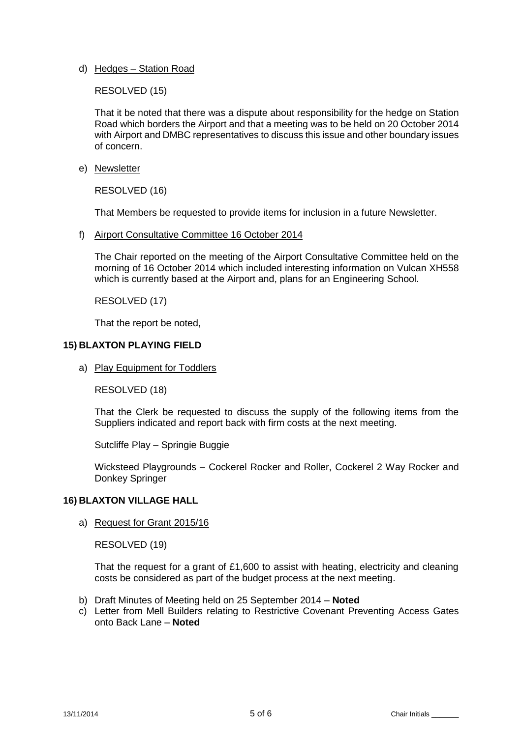d) Hedges – Station Road

RESOLVED (15)

That it be noted that there was a dispute about responsibility for the hedge on Station Road which borders the Airport and that a meeting was to be held on 20 October 2014 with Airport and DMBC representatives to discuss this issue and other boundary issues of concern.

e) Newsletter

RESOLVED (16)

That Members be requested to provide items for inclusion in a future Newsletter.

f) Airport Consultative Committee 16 October 2014

The Chair reported on the meeting of the Airport Consultative Committee held on the morning of 16 October 2014 which included interesting information on Vulcan XH558 which is currently based at the Airport and, plans for an Engineering School.

RESOLVED (17)

That the report be noted,

## **15) BLAXTON PLAYING FIELD**

a) Play Equipment for Toddlers

RESOLVED (18)

That the Clerk be requested to discuss the supply of the following items from the Suppliers indicated and report back with firm costs at the next meeting.

Sutcliffe Play – Springie Buggie

Wicksteed Playgrounds – Cockerel Rocker and Roller, Cockerel 2 Way Rocker and Donkey Springer

### **16) BLAXTON VILLAGE HALL**

a) Request for Grant 2015/16

RESOLVED (19)

That the request for a grant of £1,600 to assist with heating, electricity and cleaning costs be considered as part of the budget process at the next meeting.

- b) Draft Minutes of Meeting held on 25 September 2014 **Noted**
- c) Letter from Mell Builders relating to Restrictive Covenant Preventing Access Gates onto Back Lane – **Noted**